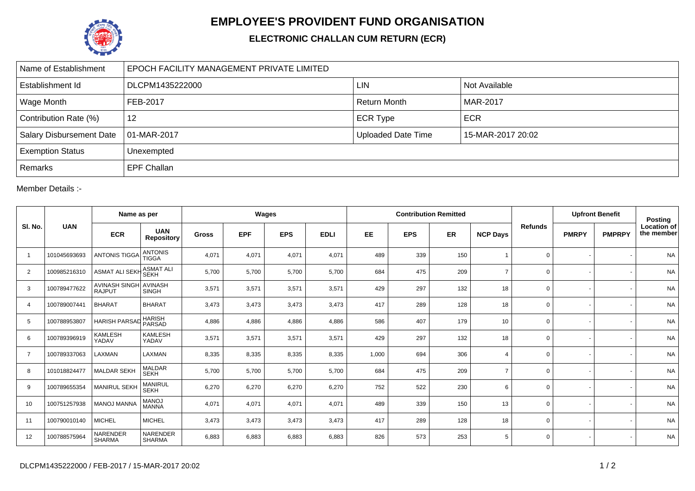

## **EMPLOYEE'S PROVIDENT FUND ORGANISATION**

## **ELECTRONIC CHALLAN CUM RETURN (ECR)**

| Name of Establishment           | EPOCH FACILITY MANAGEMENT PRIVATE LIMITED |                           |                   |  |  |  |  |  |  |  |
|---------------------------------|-------------------------------------------|---------------------------|-------------------|--|--|--|--|--|--|--|
| Establishment Id                | DLCPM1435222000                           | <b>LIN</b>                | Not Available     |  |  |  |  |  |  |  |
| Wage Month                      | FEB-2017                                  | <b>Return Month</b>       | <b>MAR-2017</b>   |  |  |  |  |  |  |  |
| Contribution Rate (%)           | 12                                        | <b>ECR Type</b>           | <b>ECR</b>        |  |  |  |  |  |  |  |
| <b>Salary Disbursement Date</b> | 01-MAR-2017                               | <b>Uploaded Date Time</b> | 15-MAR-2017 20:02 |  |  |  |  |  |  |  |
| <b>Exemption Status</b>         | Unexempted                                |                           |                   |  |  |  |  |  |  |  |
| Remarks                         | <b>EPF Challan</b>                        |                           |                   |  |  |  |  |  |  |  |

Member Details :-

| SI. No.        | <b>UAN</b>   | Name as per                           |                                 | Wages        |            |            |             | <b>Contribution Remitted</b> |            |           |                         |                | <b>Upfront Benefit</b> |               | <b>Posting</b>                   |
|----------------|--------------|---------------------------------------|---------------------------------|--------------|------------|------------|-------------|------------------------------|------------|-----------|-------------------------|----------------|------------------------|---------------|----------------------------------|
|                |              | <b>ECR</b>                            | <b>UAN</b><br><b>Repository</b> | <b>Gross</b> | <b>EPF</b> | <b>EPS</b> | <b>EDLI</b> | <b>EE</b>                    | <b>EPS</b> | <b>ER</b> | <b>NCP Days</b>         | <b>Refunds</b> | <b>PMRPY</b>           | <b>PMPRPY</b> | <b>Location of</b><br>the member |
| $\mathbf{1}$   | 101045693693 | <b>ANTONIS TIGGA</b>                  | <b>ANTONIS</b><br><b>TIGGA</b>  | 4,071        | 4,071      | 4,071      | 4,071       | 489                          | 339        | 150       |                         | $\mathbf 0$    |                        |               | <b>NA</b>                        |
| $\overline{2}$ | 100985216310 | <b>ASMAT ALI SEKH</b>                 | <b>ASMAT ALI</b><br><b>SEKH</b> | 5,700        | 5,700      | 5,700      | 5,700       | 684                          | 475        | 209       | $\overline{ }$          | $\mathbf 0$    |                        |               | <b>NA</b>                        |
| 3              | 100789477622 | <b>AVINASH SINGH</b><br><b>RAJPUT</b> | <b>AVINASH</b><br><b>SINGH</b>  | 3,571        | 3,571      | 3,571      | 3,571       | 429                          | 297        | 132       | 18                      | $\mathbf 0$    |                        |               | <b>NA</b>                        |
| $\overline{4}$ | 100789007441 | <b>BHARAT</b>                         | <b>BHARAT</b>                   | 3,473        | 3,473      | 3,473      | 3,473       | 417                          | 289        | 128       | 18                      | $\mathbf 0$    |                        |               | <b>NA</b>                        |
| 5              | 100788953807 | <b>HARISH PARSAD</b>                  | <b>HARISH</b><br>PARSAD         | 4,886        | 4,886      | 4,886      | 4,886       | 586                          | 407        | 179       | 10                      | $\mathbf 0$    |                        |               | <b>NA</b>                        |
| 6              | 100789396919 | KAMLESH<br>YADAV                      | <b>KAMLESH</b><br>YADAV         | 3,571        | 3,571      | 3,571      | 3,571       | 429                          | 297        | 132       | 18                      | $\mathbf 0$    |                        |               | <b>NA</b>                        |
| $\overline{7}$ | 100789337063 | LAXMAN                                | LAXMAN                          | 8,335        | 8,335      | 8,335      | 8,335       | 1,000                        | 694        | 306       | $\overline{\mathbf{A}}$ | 0              |                        |               | <b>NA</b>                        |
| 8              | 101018824477 | <b>MALDAR SEKH</b>                    | <b>MALDAR</b><br><b>SEKH</b>    | 5,700        | 5,700      | 5,700      | 5,700       | 684                          | 475        | 209       | $\overline{ }$          | $\mathbf 0$    |                        |               | <b>NA</b>                        |
| 9              | 100789655354 | <b>MANIRUL SEKH</b>                   | MANIRUL<br><b>SEKH</b>          | 6,270        | 6,270      | 6,270      | 6,270       | 752                          | 522        | 230       | 6                       | $\mathbf 0$    |                        |               | <b>NA</b>                        |
| 10             | 100751257938 | <b>MANOJ MANNA</b>                    | <b>MANOJ</b><br><b>MANNA</b>    | 4,071        | 4,071      | 4,071      | 4,071       | 489                          | 339        | 150       | 13                      | $\mathbf 0$    |                        |               | <b>NA</b>                        |
| 11             | 100790010140 | <b>MICHEL</b>                         | <b>MICHEL</b>                   | 3,473        | 3,473      | 3,473      | 3,473       | 417                          | 289        | 128       | 18                      | $\mathbf 0$    |                        |               | <b>NA</b>                        |
| 12             | 100788575964 | NARENDER<br><b>SHARMA</b>             | NARENDER<br><b>SHARMA</b>       | 6,883        | 6,883      | 6,883      | 6,883       | 826                          | 573        | 253       | 5                       | $\mathbf 0$    |                        |               | <b>NA</b>                        |